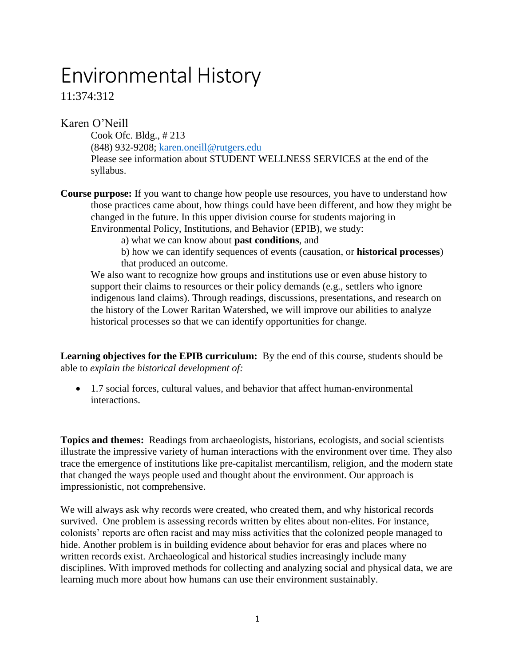# Environmental History

11:374:312

Karen O'Neill

Cook Ofc. Bldg., # 213 (848) 932-9208; [karen.oneill@rutgers.edu](mailto:karen.oneill@rutgers.edu) Please see information about STUDENT WELLNESS SERVICES at the end of the syllabus.

**Course purpose:** If you want to change how people use resources, you have to understand how those practices came about, how things could have been different, and how they might be changed in the future. In this upper division course for students majoring in Environmental Policy, Institutions, and Behavior (EPIB), we study:

a) what we can know about **past conditions**, and

b) how we can identify sequences of events (causation, or **historical processes**) that produced an outcome.

We also want to recognize how groups and institutions use or even abuse history to support their claims to resources or their policy demands (e.g., settlers who ignore indigenous land claims). Through readings, discussions, presentations, and research on the history of the Lower Raritan Watershed, we will improve our abilities to analyze historical processes so that we can identify opportunities for change.

**Learning objectives for the EPIB curriculum:** By the end of this course, students should be able to *explain the historical development of:*

• 1.7 social forces, cultural values, and behavior that affect human-environmental interactions.

**Topics and themes:** Readings from archaeologists, historians, ecologists, and social scientists illustrate the impressive variety of human interactions with the environment over time. They also trace the emergence of institutions like pre-capitalist mercantilism, religion, and the modern state that changed the ways people used and thought about the environment. Our approach is impressionistic, not comprehensive.

We will always ask why records were created, who created them, and why historical records survived. One problem is assessing records written by elites about non-elites. For instance, colonists' reports are often racist and may miss activities that the colonized people managed to hide. Another problem is in building evidence about behavior for eras and places where no written records exist. Archaeological and historical studies increasingly include many disciplines. With improved methods for collecting and analyzing social and physical data, we are learning much more about how humans can use their environment sustainably.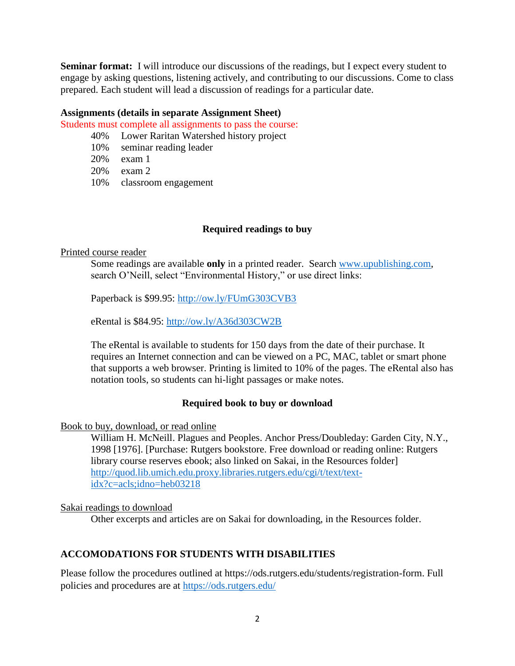**Seminar format:** I will introduce our discussions of the readings, but I expect every student to engage by asking questions, listening actively, and contributing to our discussions. Come to class prepared. Each student will lead a discussion of readings for a particular date.

### **Assignments (details in separate Assignment Sheet)**

Students must complete all assignments to pass the course:

40% Lower Raritan Watershed history project

- 10% seminar reading leader
- 20% exam 1
- 20% exam 2
- 10% classroom engagement

### **Required readings to buy**

#### Printed course reader

Some readings are available **only** in a printed reader. Search [www.upublishing.com,](http://www.upublishing.com/) search O'Neill, select "Environmental History," or use direct links:

Paperback is \$99.95:<http://ow.ly/FUmG303CVB3>

eRental is \$84.95:<http://ow.ly/A36d303CW2B>

The eRental is available to students for 150 days from the date of their purchase. It requires an Internet connection and can be viewed on a PC, MAC, tablet or smart phone that supports a web browser. Printing is limited to 10% of the pages. The eRental also has notation tools, so students can hi-light passages or make notes.

### **Required book to buy or download**

Book to buy, download, or read online

William H. McNeill. Plagues and Peoples. Anchor Press/Doubleday: Garden City, N.Y., 1998 [1976]. [Purchase: Rutgers bookstore. Free download or reading online: Rutgers library course reserves ebook; also linked on Sakai, in the Resources folder] [http://quod.lib.umich.edu.proxy.libraries.rutgers.edu/cgi/t/text/text](http://quod.lib.umich.edu.proxy.libraries.rutgers.edu/cgi/t/text/text-idx?c=acls;idno=heb03218)[idx?c=acls;idno=heb03218](http://quod.lib.umich.edu.proxy.libraries.rutgers.edu/cgi/t/text/text-idx?c=acls;idno=heb03218)

### Sakai readings to download

Other excerpts and articles are on Sakai for downloading, in the Resources folder.

### **ACCOMODATIONS FOR STUDENTS WITH DISABILITIES**

Please follow the procedures outlined at https://ods.rutgers.edu/students/registration-form. Full policies and procedures are at<https://ods.rutgers.edu/>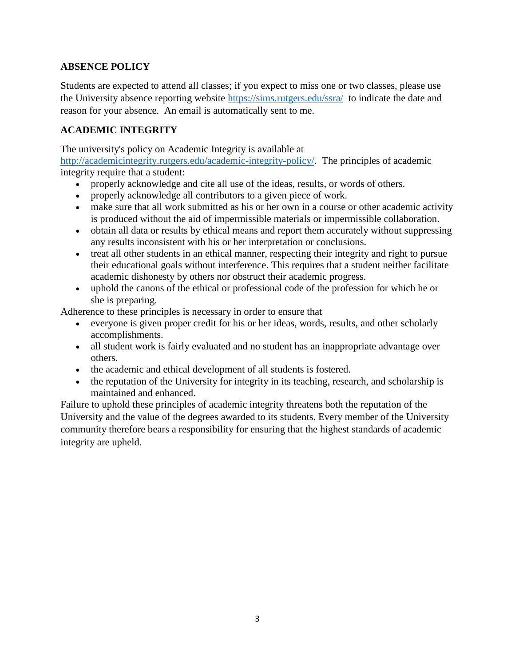### **ABSENCE POLICY**

Students are expected to attend all classes; if you expect to miss one or two classes, please use the University absence reporting website<https://sims.rutgers.edu/ssra/> to indicate the date and reason for your absence. An email is automatically sent to me.

### **ACADEMIC INTEGRITY**

The university's policy on Academic Integrity is available at

[http://academicintegrity.rutgers.edu/academic-integrity-policy/.](http://academicintegrity.rutgers.edu/academic-integrity-policy/) The principles of academic integrity require that a student:

- properly acknowledge and cite all use of the ideas, results, or words of others.
- properly acknowledge all contributors to a given piece of work.
- make sure that all work submitted as his or her own in a course or other academic activity is produced without the aid of impermissible materials or impermissible collaboration.
- obtain all data or results by ethical means and report them accurately without suppressing any results inconsistent with his or her interpretation or conclusions.
- treat all other students in an ethical manner, respecting their integrity and right to pursue their educational goals without interference. This requires that a student neither facilitate academic dishonesty by others nor obstruct their academic progress.
- uphold the canons of the ethical or professional code of the profession for which he or she is preparing.

Adherence to these principles is necessary in order to ensure that

- everyone is given proper credit for his or her ideas, words, results, and other scholarly accomplishments.
- all student work is fairly evaluated and no student has an inappropriate advantage over others.
- the academic and ethical development of all students is fostered.
- the reputation of the University for integrity in its teaching, research, and scholarship is maintained and enhanced.

Failure to uphold these principles of academic integrity threatens both the reputation of the University and the value of the degrees awarded to its students. Every member of the University community therefore bears a responsibility for ensuring that the highest standards of academic integrity are upheld.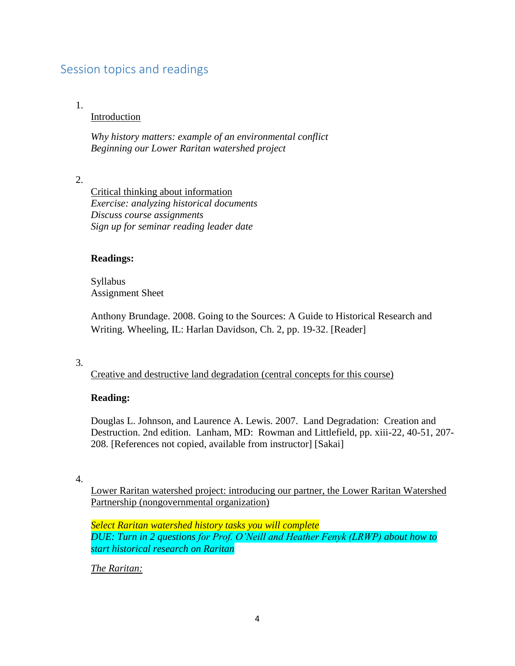# Session topics and readings

### 1.

### Introduction

*Why history matters: example of an environmental conflict Beginning our Lower Raritan watershed project*

2.

Critical thinking about information *Exercise: analyzing historical documents Discuss course assignments Sign up for seminar reading leader date*

### **Readings:**

Syllabus Assignment Sheet

Anthony Brundage. 2008. Going to the Sources: A Guide to Historical Research and Writing. Wheeling, IL: Harlan Davidson, Ch. 2, pp. 19-32. [Reader]

### 3.

Creative and destructive land degradation (central concepts for this course)

### **Reading:**

Douglas L. Johnson, and Laurence A. Lewis. 2007. Land Degradation: Creation and Destruction. 2nd edition. Lanham, MD: Rowman and Littlefield, pp. xiii-22, 40-51, 207- 208. [References not copied, available from instructor] [Sakai]

4.

Lower Raritan watershed project: introducing our partner, the Lower Raritan Watershed Partnership (nongovernmental organization)

*Select Raritan watershed history tasks you will complete DUE: Turn in 2 questions for Prof. O'Neill and Heather Fenyk (LRWP) about how to start historical research on Raritan*

*The Raritan:*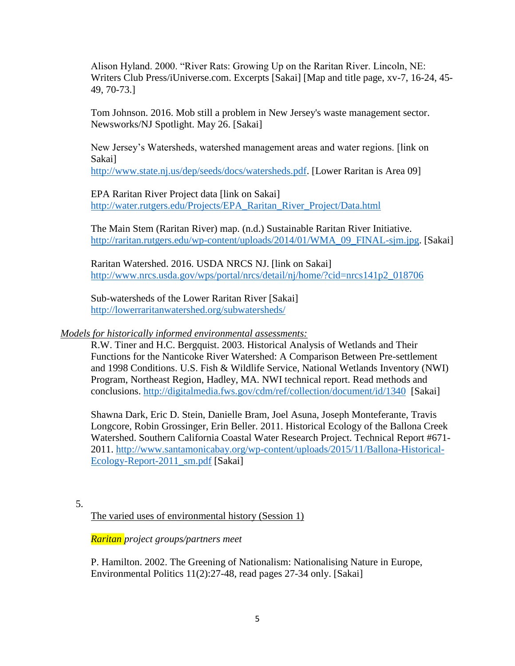Alison Hyland. 2000. "River Rats: Growing Up on the Raritan River. Lincoln, NE: Writers Club Press/iUniverse.com. Excerpts [Sakai] [Map and title page, xv-7, 16-24, 45- 49, 70-73.]

Tom Johnson. 2016. Mob still a problem in New Jersey's waste management sector. Newsworks/NJ Spotlight. May 26. [Sakai]

New Jersey's Watersheds, watershed management areas and water regions. [link on Sakai]

[http://www.state.nj.us/dep/seeds/docs/watersheds.pdf.](http://www.state.nj.us/dep/seeds/docs/watersheds.pdf) [Lower Raritan is Area 09]

EPA Raritan River Project data [link on Sakai] [http://water.rutgers.edu/Projects/EPA\\_Raritan\\_River\\_Project/Data.html](http://water.rutgers.edu/Projects/EPA_Raritan_River_Project/Data.html)

The Main Stem (Raritan River) map. (n.d.) Sustainable Raritan River Initiative. [http://raritan.rutgers.edu/wp-content/uploads/2014/01/WMA\\_09\\_FINAL-sjm.jpg.](http://raritan.rutgers.edu/wp-content/uploads/2014/01/WMA_09_FINAL-sjm.jpg) [Sakai]

Raritan Watershed. 2016. USDA NRCS NJ. [link on Sakai] [http://www.nrcs.usda.gov/wps/portal/nrcs/detail/nj/home/?cid=nrcs141p2\\_018706](http://www.nrcs.usda.gov/wps/portal/nrcs/detail/nj/home/?cid=nrcs141p2_018706)

Sub-watersheds of the Lower Raritan River [Sakai] <http://lowerraritanwatershed.org/subwatersheds/>

### *Models for historically informed environmental assessments:*

R.W. Tiner and H.C. Bergquist. 2003. Historical Analysis of Wetlands and Their Functions for the Nanticoke River Watershed: A Comparison Between Pre-settlement and 1998 Conditions. U.S. Fish & Wildlife Service, National Wetlands Inventory (NWI) Program, Northeast Region, Hadley, MA. NWI technical report. Read methods and conclusions.<http://digitalmedia.fws.gov/cdm/ref/collection/document/id/1340>[Sakai]

Shawna Dark, Eric D. Stein, Danielle Bram, Joel Asuna, Joseph Monteferante, Travis Longcore, Robin Grossinger, Erin Beller. 2011. Historical Ecology of the Ballona Creek Watershed. Southern California Coastal Water Research Project. Technical Report #671- 2011. [http://www.santamonicabay.org/wp-content/uploads/2015/11/Ballona-Historical-](http://www.santamonicabay.org/wp-content/uploads/2015/11/Ballona-Historical-Ecology-Report-2011_sm.pdf)[Ecology-Report-2011\\_sm.pdf](http://www.santamonicabay.org/wp-content/uploads/2015/11/Ballona-Historical-Ecology-Report-2011_sm.pdf) [Sakai]

5.

The varied uses of environmental history (Session 1)

### *Raritan project groups/partners meet*

P. Hamilton. 2002. The Greening of Nationalism: Nationalising Nature in Europe, Environmental Politics 11(2):27-48, read pages 27-34 only. [Sakai]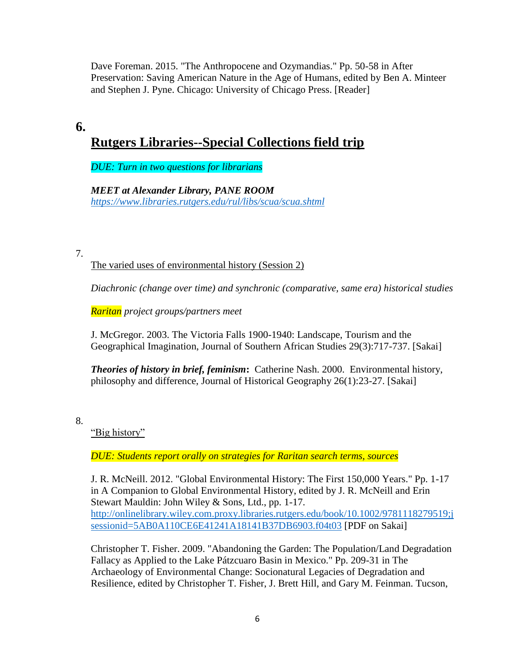Dave Foreman. 2015. "The Anthropocene and Ozymandias." Pp. 50-58 in After Preservation: Saving American Nature in the Age of Humans, edited by Ben A. Minteer and Stephen J. Pyne. Chicago: University of Chicago Press. [Reader]

# **6.**

# **Rutgers Libraries--Special Collections field trip**

*DUE: Turn in two questions for librarians* 

*MEET at Alexander Library, PANE ROOM <https://www.libraries.rutgers.edu/rul/libs/scua/scua.shtml>*

7.

The varied uses of environmental history (Session 2)

*Diachronic (change over time) and synchronic (comparative, same era) historical studies*

*Raritan project groups/partners meet*

J. McGregor. 2003. The Victoria Falls 1900-1940: Landscape, Tourism and the Geographical Imagination, Journal of Southern African Studies 29(3):717-737. [Sakai]

*Theories of history in brief, feminism***:** Catherine Nash. 2000. Environmental history, philosophy and difference, Journal of Historical Geography 26(1):23-27. [Sakai]

8.

"Big history"

*DUE: Students report orally on strategies for Raritan search terms, sources*

J. R. McNeill. 2012. "Global Environmental History: The First 150,000 Years." Pp. 1-17 in A Companion to Global Environmental History, edited by J. R. McNeill and Erin Stewart Mauldin: John Wiley & Sons, Ltd., pp. 1-17. [http://onlinelibrary.wiley.com.proxy.libraries.rutgers.edu/book/10.1002/9781118279519;j](http://onlinelibrary.wiley.com.proxy.libraries.rutgers.edu/book/10.1002/9781118279519;jsessionid=5AB0A110CE6E41241A18141B37DB6903.f04t03) [sessionid=5AB0A110CE6E41241A18141B37DB6903.f04t03](http://onlinelibrary.wiley.com.proxy.libraries.rutgers.edu/book/10.1002/9781118279519;jsessionid=5AB0A110CE6E41241A18141B37DB6903.f04t03) [PDF on Sakai]

Christopher T. Fisher. 2009. "Abandoning the Garden: The Population/Land Degradation Fallacy as Applied to the Lake Pátzcuaro Basin in Mexico." Pp. 209-31 in The Archaeology of Environmental Change: Socionatural Legacies of Degradation and Resilience, edited by Christopher T. Fisher, J. Brett Hill, and Gary M. Feinman. Tucson,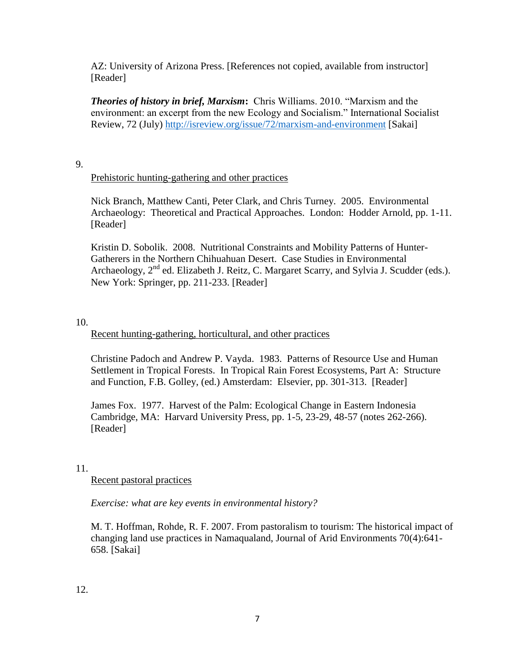AZ: University of Arizona Press. [References not copied, available from instructor] [Reader]

*Theories of history in brief, Marxism***:** Chris Williams. 2010. "Marxism and the environment: an excerpt from the new Ecology and Socialism." International Socialist Review, 72 (July)<http://isreview.org/issue/72/marxism-and-environment> [Sakai]

### 9.

### Prehistoric hunting-gathering and other practices

Nick Branch, Matthew Canti, Peter Clark, and Chris Turney. 2005. Environmental Archaeology: Theoretical and Practical Approaches. London: Hodder Arnold, pp. 1-11. [Reader]

Kristin D. Sobolik. 2008. Nutritional Constraints and Mobility Patterns of Hunter-Gatherers in the Northern Chihuahuan Desert. Case Studies in Environmental Archaeology,  $2^{nd}$  ed. Elizabeth J. Reitz, C. Margaret Scarry, and Sylvia J. Scudder (eds.). New York: Springer, pp. 211-233. [Reader]

### 10.

### Recent hunting-gathering, horticultural, and other practices

Christine Padoch and Andrew P. Vayda. 1983. Patterns of Resource Use and Human Settlement in Tropical Forests. In Tropical Rain Forest Ecosystems, Part A: Structure and Function, F.B. Golley, (ed.) Amsterdam: Elsevier, pp. 301-313. [Reader]

James Fox. 1977. Harvest of the Palm: Ecological Change in Eastern Indonesia Cambridge, MA: Harvard University Press, pp. 1-5, 23-29, 48-57 (notes 262-266). [Reader]

### 11.

Recent pastoral practices

*Exercise: what are key events in environmental history?*

M. T. Hoffman, Rohde, R. F. 2007. From pastoralism to tourism: The historical impact of changing land use practices in Namaqualand, Journal of Arid Environments 70(4):641- 658. [Sakai]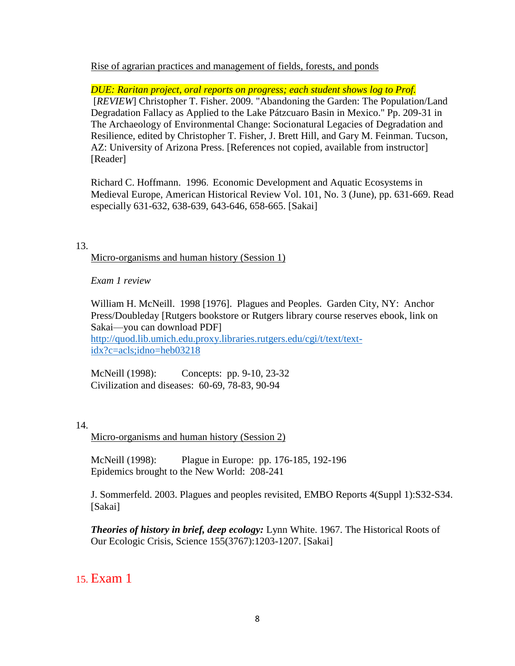Rise of agrarian practices and management of fields, forests, and ponds

*DUE: Raritan project, oral reports on progress; each student shows log to Prof.* [*REVIEW*] Christopher T. Fisher. 2009. "Abandoning the Garden: The Population/Land Degradation Fallacy as Applied to the Lake Pátzcuaro Basin in Mexico." Pp. 209-31 in The Archaeology of Environmental Change: Socionatural Legacies of Degradation and Resilience, edited by Christopher T. Fisher, J. Brett Hill, and Gary M. Feinman. Tucson, AZ: University of Arizona Press. [References not copied, available from instructor] [Reader]

Richard C. Hoffmann. 1996. Economic Development and Aquatic Ecosystems in Medieval Europe, American Historical Review Vol. 101, No. 3 (June), pp. 631-669. Read especially 631-632, 638-639, 643-646, 658-665. [Sakai]

13.

Micro-organisms and human history (Session 1)

*Exam 1 review*

William H. McNeill. 1998 [1976]. Plagues and Peoples. Garden City, NY: Anchor Press/Doubleday [Rutgers bookstore or Rutgers library course reserves ebook, link on Sakai—you can download PDF]

[http://quod.lib.umich.edu.proxy.libraries.rutgers.edu/cgi/t/text/text](http://quod.lib.umich.edu.proxy.libraries.rutgers.edu/cgi/t/text/text-idx?c=acls;idno=heb03218)[idx?c=acls;idno=heb03218](http://quod.lib.umich.edu.proxy.libraries.rutgers.edu/cgi/t/text/text-idx?c=acls;idno=heb03218)

McNeill (1998): Concepts: pp. 9-10, 23-32 Civilization and diseases: 60-69, 78-83, 90-94

14.

Micro-organisms and human history (Session 2)

McNeill (1998): Plague in Europe: pp. 176-185, 192-196 Epidemics brought to the New World: 208-241

J. Sommerfeld. 2003. Plagues and peoples revisited, EMBO Reports 4(Suppl 1):S32-S34. [Sakai]

*Theories of history in brief, deep ecology:* Lynn White. 1967. The Historical Roots of Our Ecologic Crisis, Science 155(3767):1203-1207. [Sakai]

## 15. Exam 1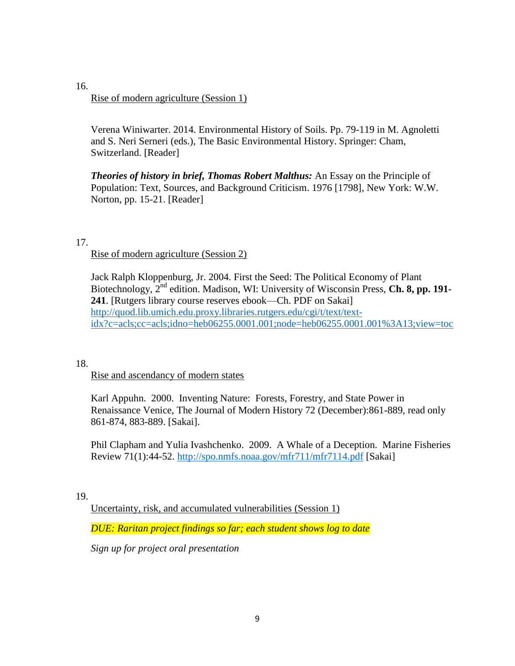16.

### Rise of modern agriculture (Session 1)

Verena Winiwarter. 2014. Environmental History of Soils. Pp. 79-119 in M. Agnoletti and S. Neri Serneri (eds.), The Basic Environmental History. Springer: Cham, Switzerland. [Reader]

*Theories of history in brief, Thomas Robert Malthus:* An Essay on the Principle of Population: Text, Sources, and Background Criticism. 1976 [1798], New York: W.W. Norton, pp. 15-21. [Reader]

17.

### Rise of modern agriculture (Session 2)

Jack Ralph Kloppenburg, Jr. 2004. First the Seed: The Political Economy of Plant Biotechnology, 2nd edition. Madison, WI: University of Wisconsin Press, **Ch. 8, pp. 191- 241**. [Rutgers library course reserves ebook—Ch. PDF on Sakai] [http://quod.lib.umich.edu.proxy.libraries.rutgers.edu/cgi/t/text/text](http://quod.lib.umich.edu.proxy.libraries.rutgers.edu/cgi/t/text/text-idx?c=acls;cc=acls;idno=heb06255.0001.001;node=heb06255.0001.001%3A13;view=toc)[idx?c=acls;cc=acls;idno=heb06255.0001.001;node=heb06255.0001.001%3A13;view=toc](http://quod.lib.umich.edu.proxy.libraries.rutgers.edu/cgi/t/text/text-idx?c=acls;cc=acls;idno=heb06255.0001.001;node=heb06255.0001.001%3A13;view=toc)

18.

### Rise and ascendancy of modern states

Karl Appuhn. 2000. Inventing Nature: Forests, Forestry, and State Power in Renaissance Venice, The Journal of Modern History 72 (December):861-889, read only 861-874, 883-889. [Sakai].

Phil Clapham and Yulia Ivashchenko. 2009. A Whale of a Deception. Marine Fisheries Review 71(1):44-52.<http://spo.nmfs.noaa.gov/mfr711/mfr7114.pdf> [Sakai]

19.

Uncertainty, risk, and accumulated vulnerabilities (Session 1)

*DUE: Raritan project findings so far; each student shows log to date*

*Sign up for project oral presentation*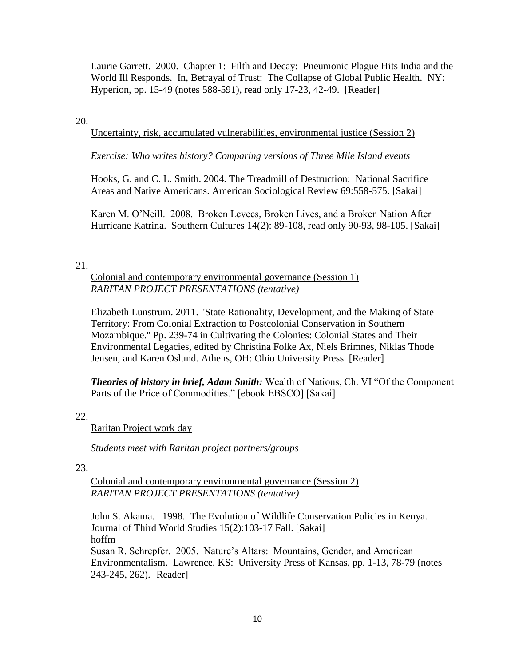Laurie Garrett. 2000. Chapter 1: Filth and Decay: Pneumonic Plague Hits India and the World Ill Responds. In, Betrayal of Trust: The Collapse of Global Public Health. NY: Hyperion, pp. 15-49 (notes 588-591), read only 17-23, 42-49. [Reader]

### 20.

Uncertainty, risk, accumulated vulnerabilities, environmental justice (Session 2)

*Exercise: Who writes history? Comparing versions of Three Mile Island events*

Hooks, G. and C. L. Smith. 2004. The Treadmill of Destruction: National Sacrifice Areas and Native Americans. American Sociological Review 69:558-575. [Sakai]

Karen M. O'Neill. 2008. Broken Levees, Broken Lives, and a Broken Nation After Hurricane Katrina. Southern Cultures 14(2): 89-108, read only 90-93, 98-105. [Sakai]

### 21.

### Colonial and contemporary environmental governance (Session 1) *RARITAN PROJECT PRESENTATIONS (tentative)*

Elizabeth Lunstrum. 2011. "State Rationality, Development, and the Making of State Territory: From Colonial Extraction to Postcolonial Conservation in Southern Mozambique." Pp. 239-74 in Cultivating the Colonies: Colonial States and Their Environmental Legacies, edited by Christina Folke Ax, Niels Brimnes, Niklas Thode Jensen, and Karen Oslund. Athens, OH: Ohio University Press. [Reader]

*Theories of history in brief, Adam Smith:* Wealth of Nations, Ch. VI "Of the Component Parts of the Price of Commodities." [ebook EBSCO] [Sakai]

22.

Raritan Project work day

*Students meet with Raritan project partners/groups*

23.

Colonial and contemporary environmental governance (Session 2) *RARITAN PROJECT PRESENTATIONS (tentative)*

John S. Akama. 1998. The Evolution of Wildlife Conservation Policies in Kenya. Journal of Third World Studies 15(2):103-17 Fall. [Sakai] hoffm Susan R. Schrepfer. 2005. Nature's Altars: Mountains, Gender, and American Environmentalism. Lawrence, KS: University Press of Kansas, pp. 1-13, 78-79 (notes 243-245, 262). [Reader]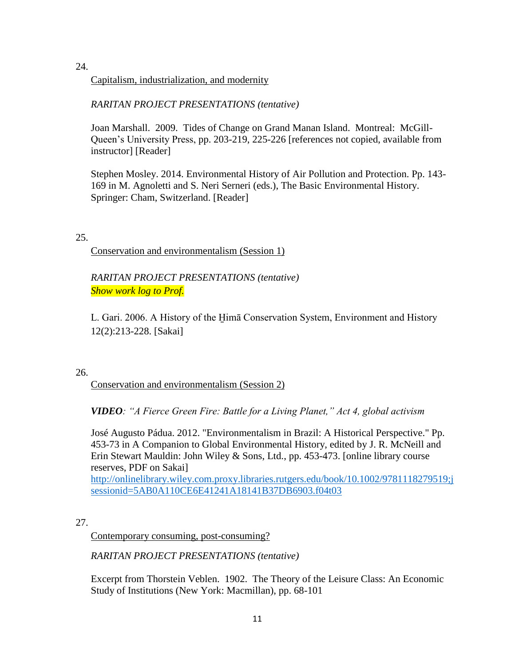24.

Capitalism, industrialization, and modernity

*RARITAN PROJECT PRESENTATIONS (tentative)*

Joan Marshall. 2009. Tides of Change on Grand Manan Island. Montreal: McGill-Queen's University Press, pp. 203-219, 225-226 [references not copied, available from instructor] [Reader]

Stephen Mosley. 2014. Environmental History of Air Pollution and Protection. Pp. 143- 169 in M. Agnoletti and S. Neri Serneri (eds.), The Basic Environmental History. Springer: Cham, Switzerland. [Reader]

25.

Conservation and environmentalism (Session 1)

*RARITAN PROJECT PRESENTATIONS (tentative) Show work log to Prof.*

L. Gari. 2006. A History of the H̱imā Conservation System, Environment and History 12(2):213-228. [Sakai]

26.

Conservation and environmentalism (Session 2)

*VIDEO: "A Fierce Green Fire: Battle for a Living Planet," Act 4, global activism*

José Augusto Pádua. 2012. "Environmentalism in Brazil: A Historical Perspective." Pp. 453-73 in A Companion to Global Environmental History, edited by J. R. McNeill and Erin Stewart Mauldin: John Wiley & Sons, Ltd., pp. 453-473. [online library course reserves, PDF on Sakai]

[http://onlinelibrary.wiley.com.proxy.libraries.rutgers.edu/book/10.1002/9781118279519;j](http://onlinelibrary.wiley.com.proxy.libraries.rutgers.edu/book/10.1002/9781118279519;jsessionid=5AB0A110CE6E41241A18141B37DB6903.f04t03) [sessionid=5AB0A110CE6E41241A18141B37DB6903.f04t03](http://onlinelibrary.wiley.com.proxy.libraries.rutgers.edu/book/10.1002/9781118279519;jsessionid=5AB0A110CE6E41241A18141B37DB6903.f04t03)

27.

Contemporary consuming, post-consuming?

*RARITAN PROJECT PRESENTATIONS (tentative)*

Excerpt from Thorstein Veblen. 1902. The Theory of the Leisure Class: An Economic Study of Institutions (New York: Macmillan), pp. 68-101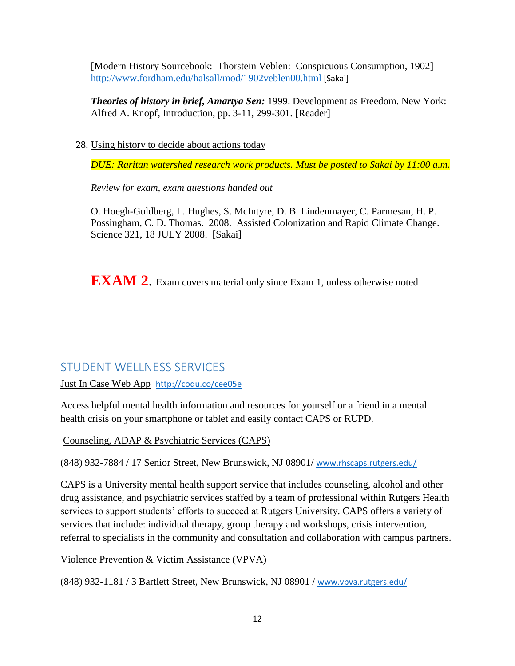[Modern History Sourcebook: Thorstein Veblen: Conspicuous Consumption, 1902] <http://www.fordham.edu/halsall/mod/1902veblen00.html> [Sakai]

*Theories of history in brief, Amartya Sen:* 1999. Development as Freedom. New York: Alfred A. Knopf, Introduction, pp. 3-11, 299-301. [Reader]

28. Using history to decide about actions today

*DUE: Raritan watershed research work products. Must be posted to Sakai by 11:00 a.m.*

*Review for exam, exam questions handed out*

O. Hoegh-Guldberg, L. Hughes, S. McIntyre, D. B. Lindenmayer, C. Parmesan, H. P. Possingham, C. D. Thomas. 2008. Assisted Colonization and Rapid Climate Change. Science 321, 18 JULY 2008. [Sakai]

**EXAM 2.** Exam covers material only since Exam 1, unless otherwise noted

## STUDENT WELLNESS SERVICES

[Just In Case Web App](http://m.appcreatorpro.com/m/rutgers/fda9f59ca5/fda9f59ca5.html) <http://codu.co/cee05e>

Access helpful mental health information and resources for yourself or a friend in a mental health crisis on your smartphone or tablet and easily contact CAPS or RUPD.

Counseling, ADAP & Psychiatric Services (CAPS)

(848) 932-7884 / 17 Senior Street, New Brunswick, NJ 08901/ [www.rhscaps.rutgers.edu/](http://www.rhscaps.rutgers.edu/)

CAPS is a University mental health support service that includes counseling, alcohol and other drug assistance, and psychiatric services staffed by a team of professional within Rutgers Health services to support students' efforts to succeed at Rutgers University. CAPS offers a variety of services that include: individual therapy, group therapy and workshops, crisis intervention, referral to specialists in the community and consultation and collaboration with campus partners.

Violence Prevention & Victim Assistance (VPVA)

(848) 932-1181 / 3 Bartlett Street, New Brunswick, NJ 08901 / [www.vpva.rutgers.edu/](http://www.vpva.rutgers.edu/)